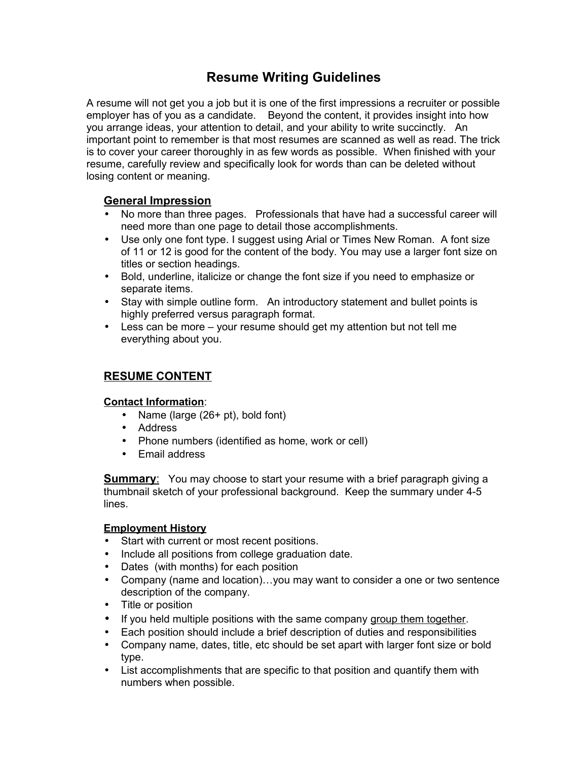# **Resume Writing Guidelines**

A resume will not get you a job but it is one of the first impressions a recruiter or possible employer has of you as a candidate. Beyond the content, it provides insight into how you arrange ideas, your attention to detail, and your ability to write succinctly. An important point to remember is that most resumes are scanned as well as read. The trick is to cover your career thoroughly in as few words as possible. When finished with your resume, carefully review and specifically look for words than can be deleted without losing content or meaning.

# **General Impression**

- No more than three pages. Professionals that have had a successful career will need more than one page to detail those accomplishments.
- Use only one font type. I suggest using Arial or Times New Roman. A font size of 11 or 12 is good for the content of the body. You may use a larger font size on titles or section headings.
- Bold, underline, italicize or change the font size if you need to emphasize or separate items.
- Stay with simple outline form. An introductory statement and bullet points is highly preferred versus paragraph format.
- Less can be more your resume should get my attention but not tell me everything about you.

# **RESUME CONTENT**

## **Contact Information**:

- Name (large (26+ pt), bold font)
- Address
- Phone numbers (identified as home, work or cell)
- Email address

**Summary:** You may choose to start your resume with a brief paragraph giving a thumbnail sketch of your professional background. Keep the summary under 4-5 lines.

## **Employment History**

- Start with current or most recent positions.
- Include all positions from college graduation date.
- Dates (with months) for each position
- Company (name and location)…you may want to consider a one or two sentence description of the company.
- Title or position
- If you held multiple positions with the same company group them together.
- Each position should include a brief description of duties and responsibilities
- Company name, dates, title, etc should be set apart with larger font size or bold type.
- List accomplishments that are specific to that position and quantify them with numbers when possible.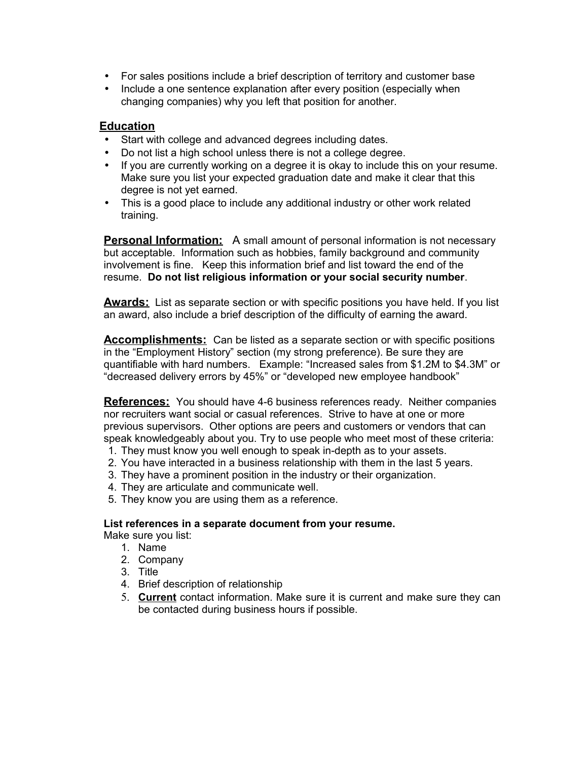- For sales positions include a brief description of territory and customer base
- Include a one sentence explanation after every position (especially when changing companies) why you left that position for another.

#### **Education**

- Start with college and advanced degrees including dates.
- Do not list a high school unless there is not a college degree.
- If you are currently working on a degree it is okay to include this on your resume. Make sure you list your expected graduation date and make it clear that this degree is not yet earned.
- This is a good place to include any additional industry or other work related training.

**Personal Information:** A small amount of personal information is not necessary but acceptable. Information such as hobbies, family background and community involvement is fine. Keep this information brief and list toward the end of the resume. **Do not list religious information or your social security number**.

**Awards:** List as separate section or with specific positions you have held. If you list an award, also include a brief description of the difficulty of earning the award.

**Accomplishments:** Can be listed as a separate section or with specific positions in the "Employment History" section (my strong preference). Be sure they are quantifiable with hard numbers. Example: "Increased sales from \$1.2M to \$4.3M" or "decreased delivery errors by 45%" or "developed new employee handbook"

**References:** You should have 4-6 business references ready. Neither companies nor recruiters want social or casual references. Strive to have at one or more previous supervisors. Other options are peers and customers or vendors that can speak knowledgeably about you. Try to use people who meet most of these criteria:

- 1. They must know you well enough to speak in-depth as to your assets.
- 2. You have interacted in a business relationship with them in the last 5 years.
- 3. They have a prominent position in the industry or their organization.
- 4. They are articulate and communicate well.
- 5. They know you are using them as a reference.

#### **List references in a separate document from your resume.**

- Make sure you list:
	- 1. Name
	- 2. Company
	- 3. Title
	- 4. Brief description of relationship
	- 5. **Current** contact information. Make sure it is current and make sure they can be contacted during business hours if possible.